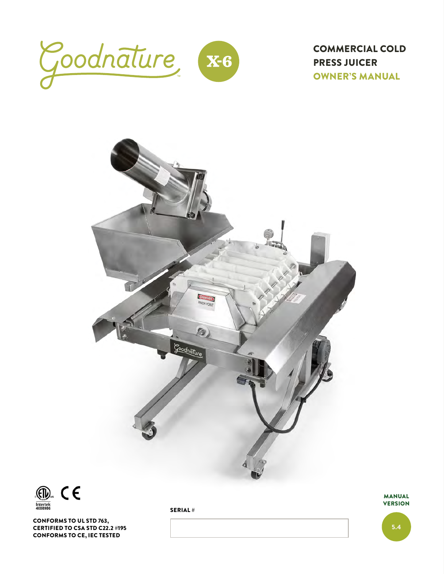

COMMERCIAL COLD PRESS JUICER OWNER'S MANUAL



SERIAL #



CONFORMS TO UL STD 763, CERTIFIED TO CSA STD C22.2 #195 CONFORMS TO CE, IEC TESTED

MANUAL **VERSION** 

5.4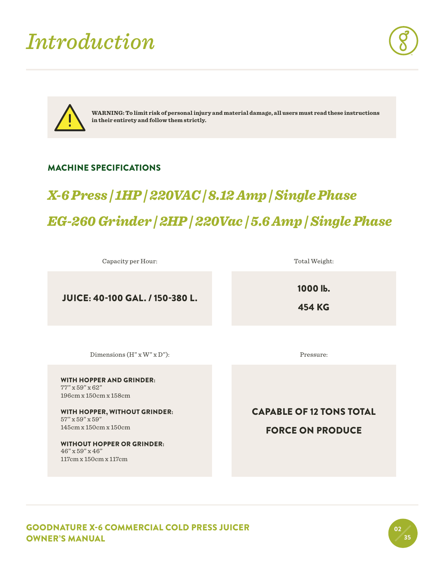### *Introduction*





**WARNING: To limit risk of personal injury and material damage, all users must read these instructions in their entirety and follow them strictly.**

#### MACHINE SPECIFICATIONS

### *X-6 Press | 1HP | 220VAC | 8.12 Amp | Single Phase EG-260 Grinder | 2HP | 220Vac | 5.6 Amp | Single Phase*

Capacity per Hour:

JUICE: 40-100 GAL. / 150-380 L.

1000 lb.

Total Weight:

454 KG

Dimensions (H" x W" x D"):

WITH HOPPER AND GRINDER: 77" x 59" x 62" 196cm x 150cm x 158cm

WITH HOPPER, WITHOUT GRINDER: 57" x 59" x 59" 145cm x 150cm x 150cm

WITHOUT HOPPER OR GRINDER: 46" x 59" x 46" 117cm x 150cm x 117cm

Pressure:

CAPABLE OF 12 TONS TOTAL FORCE ON PRODUCE

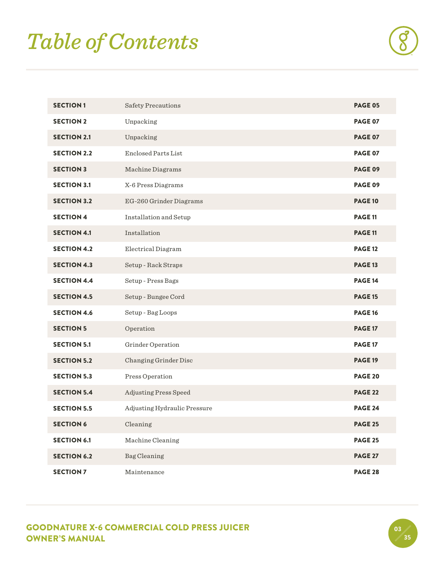# *Table of Contents*

| <b>SECTION1</b>    | Safety Precautions           | <b>PAGE 05</b> |
|--------------------|------------------------------|----------------|
| <b>SECTION 2</b>   | Unpacking                    | <b>PAGE 07</b> |
| <b>SECTION 2.1</b> | Unpacking                    | <b>PAGE 07</b> |
| <b>SECTION 2.2</b> | <b>Enclosed Parts List</b>   | <b>PAGE 07</b> |
| <b>SECTION 3</b>   | Machine Diagrams             | <b>PAGE 09</b> |
| <b>SECTION 3.1</b> | X-6 Press Diagrams           | <b>PAGE 09</b> |
| <b>SECTION 3.2</b> | EG-260 Grinder Diagrams      | <b>PAGE 10</b> |
| <b>SECTION 4</b>   | Installation and Setup       | <b>PAGE 11</b> |
| <b>SECTION 4.1</b> | Installation                 | <b>PAGE 11</b> |
| <b>SECTION 4.2</b> | Electrical Diagram           | <b>PAGE 12</b> |
| <b>SECTION 4.3</b> | Setup - Rack Straps          | <b>PAGE 13</b> |
| <b>SECTION 4.4</b> | Setup - Press Bags           | <b>PAGE 14</b> |
| <b>SECTION 4.5</b> | Setup - Bungee Cord          | <b>PAGE 15</b> |
| <b>SECTION 4.6</b> | Setup - Bag Loops            | <b>PAGE 16</b> |
| <b>SECTION 5</b>   | Operation                    | <b>PAGE 17</b> |
| <b>SECTION 5.1</b> | Grinder Operation            | <b>PAGE 17</b> |
| <b>SECTION 5.2</b> | Changing Grinder Disc        | <b>PAGE 19</b> |
| <b>SECTION 5.3</b> | Press Operation              | <b>PAGE 20</b> |
| <b>SECTION 5.4</b> | Adjusting Press Speed        | <b>PAGE 22</b> |
| <b>SECTION 5.5</b> | Adjusting Hydraulic Pressure | <b>PAGE 24</b> |
| <b>SECTION 6</b>   | Cleaning                     | <b>PAGE 25</b> |
| <b>SECTION 6.1</b> | Machine Cleaning             | <b>PAGE 25</b> |
| <b>SECTION 6.2</b> | Bag Cleaning                 | <b>PAGE 27</b> |
| <b>SECTION 7</b>   | Maintenance                  | <b>PAGE 28</b> |

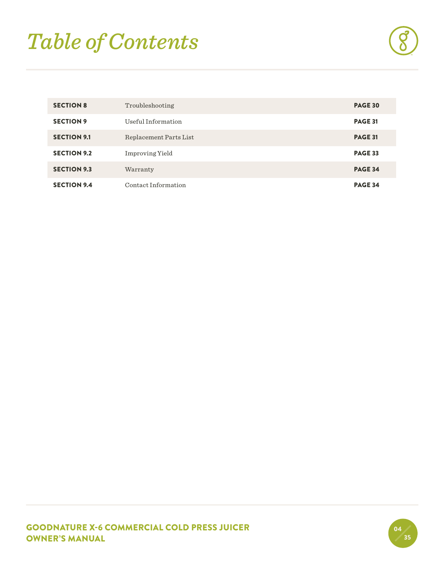# *Table of Contents*

| <b>SECTION 8</b>   | Troubleshooting        | <b>PAGE 30</b> |
|--------------------|------------------------|----------------|
| <b>SECTION 9</b>   | Useful Information     | <b>PAGE 31</b> |
| <b>SECTION 9.1</b> | Replacement Parts List | <b>PAGE 31</b> |
| <b>SECTION 9.2</b> | <b>Improving Yield</b> | <b>PAGE 33</b> |
| <b>SECTION 9.3</b> | Warranty               | <b>PAGE 34</b> |
| <b>SECTION 9.4</b> | Contact Information    | <b>PAGE 34</b> |

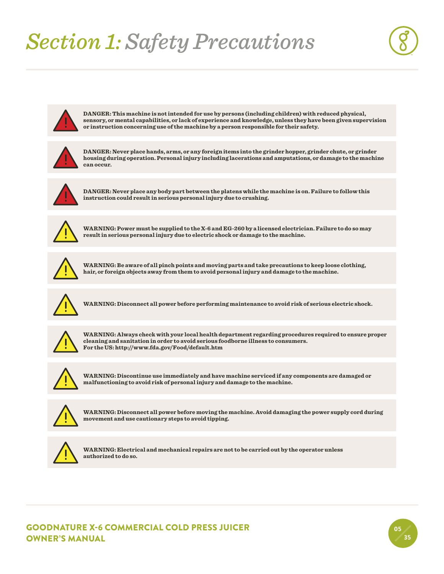## *Section 1: Safety Precautions*





**DANGER: This machine is not intended for use by persons (including children) with reduced physical, sensory, or mental capabilities, or lack of experience and knowledge, unless they have been given supervision or instruction concerning use of the machine by a person responsible for their safety.**



**DANGER: Never place hands, arms, or any foreign items into the grinder hopper, grinder chute, or grinder housing during operation. Personal injury including lacerations and amputations, or damage to the machine can occur.**



**DANGER: Never place any body part between the platens while the machine is on. Failure to follow this instruction could result in serious personal injury due to crushing.**



**WARNING: Power must be supplied to the X-6 and EG-260 by a licensed electrician. Failure to do so may result in serious personal injury due to electric shock or damage to the machine.**



**WARNING: Be aware of all pinch points and moving parts and take precautions to keep loose clothing, hair, or foreign objects away from them to avoid personal injury and damage to the machine.**



**WARNING: Disconnect all power before performing maintenance to avoid risk of serious electric shock.**



**WARNING: Always check with your local health department regarding procedures required to ensure proper cleaning and sanitation in order to avoid serious foodborne illness to consumers. For the US: http://www.fda.gov/Food/default.htm**



**WARNING: Discontinue use immediately and have machine serviced if any components are damaged or malfunctioning to avoid risk of personal injury and damage to the machine.**



**WARNING: Disconnect all power before moving the machine. Avoid damaging the power supply cord during movement and use cautionary steps to avoid tipping.**



**WARNING: Electrical and mechanical repairs are not to be carried out by the operator unless authorized to do so.** 

GOODNATURE X-6 COMMERCIAL COLD PRESS JUICER OWNER'S MANUAL

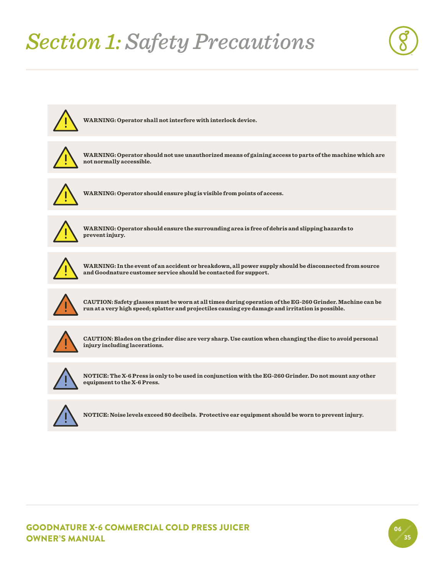# *Section 1: Safety Precautions*





**WARNING: Operator shall not interfere with interlock device.**



**WARNING: Operator should not use unauthorized means of gaining access to parts of the machine which are not normally accessible.**



**WARNING: Operator should ensure plug is visible from points of access.**



**WARNING: Operator should ensure the surrounding area is free of debris and slipping hazards to prevent injury.**



**WARNING: In the event of an accident or breakdown, all power supply should be disconnected from source and Goodnature customer service should be contacted for support.**



**CAUTION: Safety glasses must be worn at all times during operation of the EG-260 Grinder. Machine can be run at a very high speed; splatter and projectiles causing eye damage and irritation is possible.**



**CAUTION: Blades on the grinder disc are very sharp. Use caution when changing the disc to avoid personal injury including lacerations.**



**NOTICE: The X-6 Press is only to be used in conjunction with the EG-260 Grinder. Do not mount any other equipment to the X-6 Press.**



**NOTICE: Noise levels exceed 80 decibels. Protective ear equipment should be worn to prevent injury.**

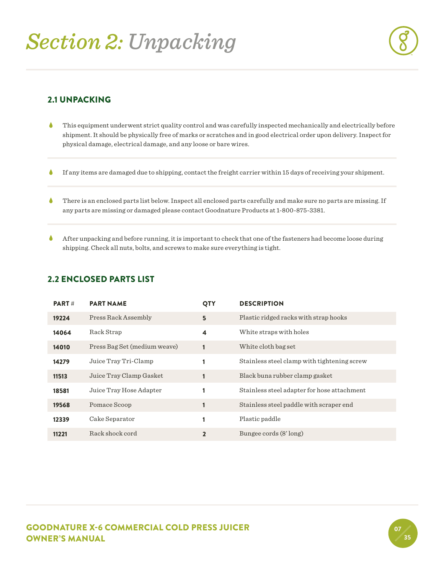

#### 2.1 UNPACKING

- This equipment underwent strict quality control and was carefully inspected mechanically and electrically before shipment. It should be physically free of marks or scratches and in good electrical order upon delivery. Inspect for physical damage, electrical damage, and any loose or bare wires.  $\bullet$
- If any items are damaged due to shipping, contact the freight carrier within 15 days of receiving your shipment.  $\bullet$
- There is an enclosed parts list below. Inspect all enclosed parts carefully and make sure no parts are missing. If any parts are missing or damaged please contact Goodnature Products at 1-800-875-3381.  $\bullet$
- After unpacking and before running, it is important to check that one of the fasteners had become loose during shipping. Check all nuts, bolts, and screws to make sure everything is tight.  $\blacklozenge$

#### 2.2 ENCLOSED PARTS LIST

| <b>PART#</b> | <b>PART NAME</b>             | QTY            | <b>DESCRIPTION</b>                          |
|--------------|------------------------------|----------------|---------------------------------------------|
| 19224        | Press Rack Assembly          | 5              | Plastic ridged racks with strap hooks       |
| 14064        | Rack Strap                   | 4              | White straps with holes                     |
| 14010        | Press Bag Set (medium weave) |                | White cloth bag set                         |
| 14279        | Juice Tray Tri-Clamp         |                | Stainless steel clamp with tightening screw |
| 11513        | Juice Tray Clamp Gasket      |                | Black buna rubber clamp gasket              |
| 18581        | Juice Tray Hose Adapter      |                | Stainless steel adapter for hose attachment |
| 19568        | Pomace Scoop                 |                | Stainless steel paddle with scraper end     |
| 12339        | Cake Separator               |                | Plastic paddle                              |
| 11221        | Rack shock cord              | $\overline{2}$ | Bungee cords (8' long)                      |

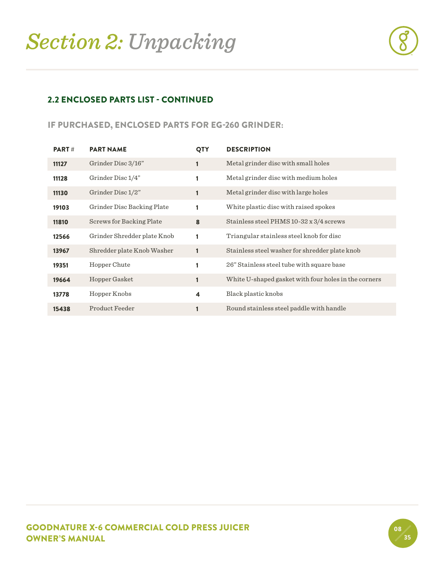

#### 2.2 ENCLOSED PARTS LIST - CONTINUED

#### IF PURCHASED, ENCLOSED PARTS FOR EG-260 GRINDER:

| <b>PART#</b> | <b>PART NAME</b>            | <b>QTY</b>              | <b>DESCRIPTION</b>                                   |
|--------------|-----------------------------|-------------------------|------------------------------------------------------|
| 11127        | Grinder Disc 3/16"          | 1                       | Metal grinder disc with small holes                  |
| 11128        | Grinder Disc 1/4"           |                         | Metal grinder disc with medium holes                 |
| 11130        | Grinder Disc 1/2"           |                         | Metal grinder disc with large holes                  |
| 19103        | Grinder Disc Backing Plate  |                         | White plastic disc with raised spokes                |
| 11810        | Screws for Backing Plate    | 8                       | Stainless steel PHMS 10-32 x 3/4 screws              |
| 12566        | Grinder Shredder plate Knob | 1                       | Triangular stainless steel knob for disc             |
| 13967        | Shredder plate Knob Washer  | $\mathbf{1}$            | Stainless steel washer for shredder plate knob       |
| 19351        | Hopper Chute                | 1                       | 26" Stainless steel tube with square base            |
| 19664        | Hopper Gasket               |                         | White U-shaped gasket with four holes in the corners |
| 13778        | Hopper Knobs                | $\overline{\mathbf{4}}$ | Black plastic knobs                                  |
| 15438        | Product Feeder              |                         | Round stainless steel paddle with handle             |

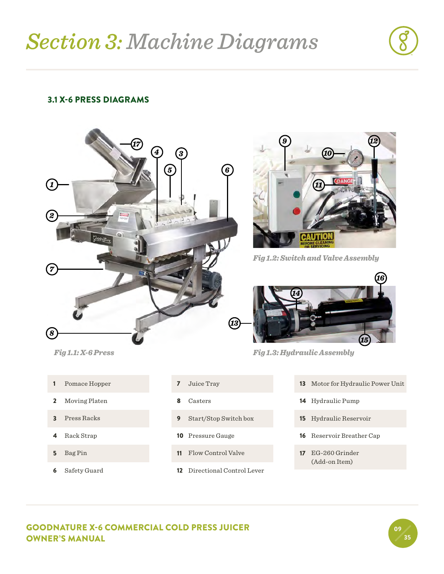#### 3.1 X-6 PRESS DIAGRAMS





- Pomace Hopper
- Moving Platen
- Press Racks
- Rack Strap
- Bag Pin
- Safety Guard
- Juice Tray
- Casters
- Start/Stop Switch box
- Pressure Gauge
- Flow Control Valve
- Directional Control Lever



*Fig 1.2: Switch and Valve Assembly*



*Fig 1.3: Hydraulic Assembly*

- Motor for Hydraulic Power Unit
- Hydraulic Pump
- Hydraulic Reservoir
- Reservoir Breather Cap
- EG-260 Grinder (Add-on Item)

#### GOODNATURE X-6 COMMERCIAL COLD PRESS JUICER OWNER'S MANUAL

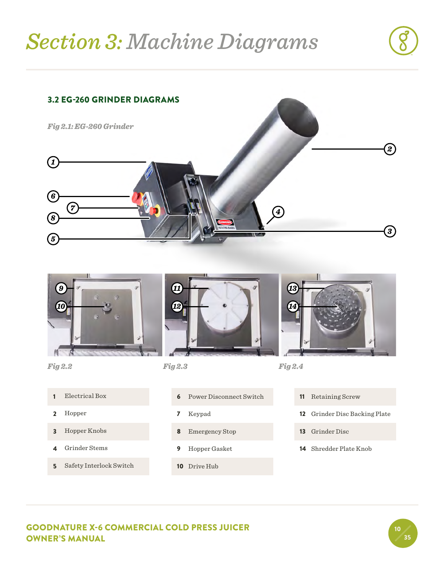### *Section 3: Machine Diagrams*





- Grinder Stems
- 
- Safety Interlock Switch
- Emergency Stop
- Hopper Gasket
- Drive Hub
- Grinder Disc
- Shredder Plate Knob

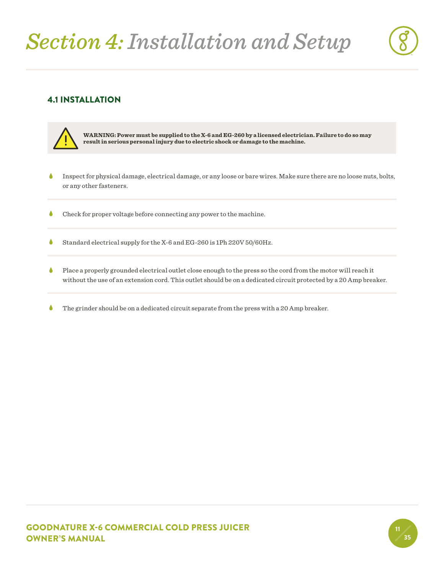## *Section 4: Installation and Setup*

### 4.1 INSTALLATION



- Inspect for physical damage, electrical damage, or any loose or bare wires. Make sure there are no loose nuts, bolts, or any other fasteners.  $\bullet$
- Check for proper voltage before connecting any power to the machine.  $\bullet$
- Standard electrical supply for the X-6 and EG-260 is 1Ph 220V 50/60Hz.  $\bullet$
- Place a properly grounded electrical outlet close enough to the press so the cord from the motor will reach it without the use of an extension cord. This outlet should be on a dedicated circuit protected by a 20 Amp breaker.  $\bullet$
- The grinder should be on a dedicated circuit separate from the press with a 20 Amp breaker.  $\blacklozenge$

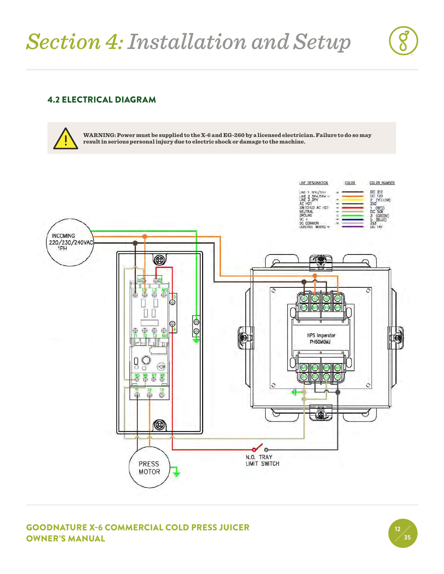#### 4.2 ELECTRICAL DIAGRAM

**WARNING: Power must be supplied to the X-6 and EG-260 by a licensed electrician. Failure to do so may result in serious personal injury due to electric shock or damage to the machine.**



GOODNATURE X-6 COMMERCIAL COLD PRESS JUICER OWNER'S MANUAL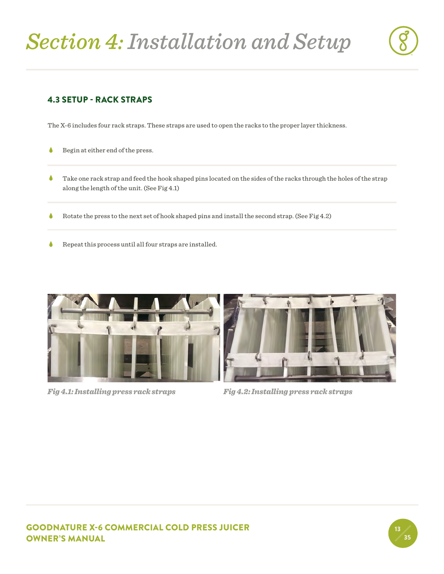

#### 4.3 SETUP - RACK STRAPS

The X-6 includes four rack straps. These straps are used to open the racks to the proper layer thickness.

- Begin at either end of the press.  $\bullet$
- Take one rack strap and feed the hook shaped pins located on the sides of the racks through the holes of the strap along the length of the unit. (See Fig 4.1)  $\bullet$
- Rotate the press to the next set of hook shaped pins and install the second strap. (See Fig 4.2)  $\bullet$
- Repeat this process until all four straps are installed.  $\bullet$



*Fig 4.1: Installing press rack straps Fig 4.2: Installing press rack straps*



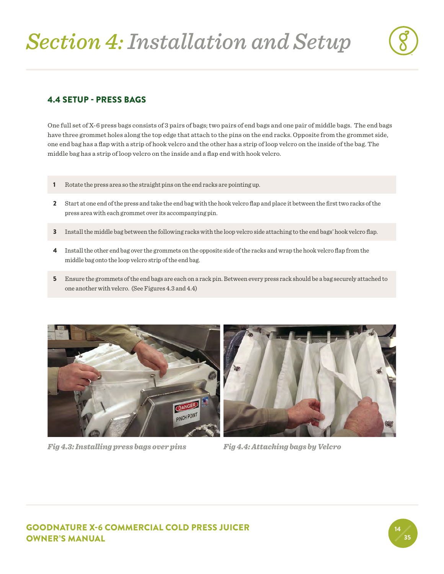

#### 4.4 SETUP - PRESS BAGS

One full set of X-6 press bags consists of 3 pairs of bags; two pairs of end bags and one pair of middle bags. The end bags have three grommet holes along the top edge that attach to the pins on the end racks. Opposite from the grommet side, one end bag has a flap with a strip of hook velcro and the other has a strip of loop velcro on the inside of the bag. The middle bag has a strip of loop velcro on the inside and a flap end with hook velcro.

- 1 Rotate the press area so the straight pins on the end racks are pointing up.
- 2 Start at one end of the press and take the end bag with the hook velcro flap and place it between the first two racks of the press area with each grommet over its accompanying pin.
- 3 Install the middle bag between the following racks with the loop velcro side attaching to the end bags' hook velcro flap.
- 4 Install the other end bag over the grommets on the opposite side of the racks and wrap the hook velcro flap from the middle bag onto the loop velcro strip of the end bag.
- 5 Ensure the grommets of the end bags are each on a rack pin. Between every press rack should be a bag securely attached to one another with velcro. (See Figures 4.3 and 4.4)



*Fig 4.3: Installing press bags over pins Fig 4.4: Attaching bags by Velcro*



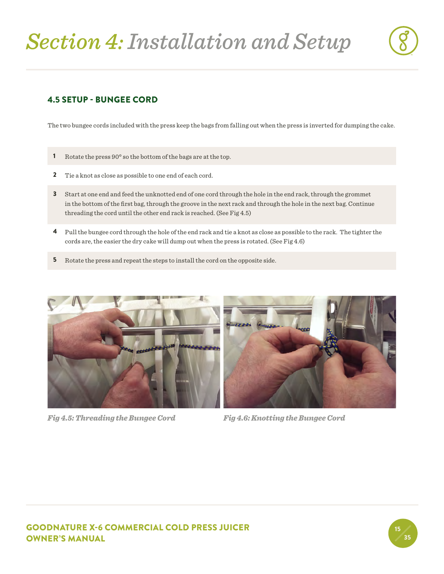#### 4.5 SETUP - BUNGEE CORD

The two bungee cords included with the press keep the bags from falling out when the press is inverted for dumping the cake.

- 1 Rotate the press 90° so the bottom of the bags are at the top.
- 2 Tie a knot as close as possible to one end of each cord.
- 3 Start at one end and feed the unknotted end of one cord through the hole in the end rack, through the grommet in the bottom of the first bag, through the groove in the next rack and through the hole in the next bag. Continue threading the cord until the other end rack is reached. (See Fig 4.5)
- 4 Pull the bungee cord through the hole of the end rack and tie a knot as close as possible to the rack. The tighter the cords are, the easier the dry cake will dump out when the press is rotated. (See Fig 4.6)
- 5 Rotate the press and repeat the steps to install the cord on the opposite side.



*Fig 4.5: Threading the Bungee Cord Fig 4.6: Knotting the Bungee Cord*



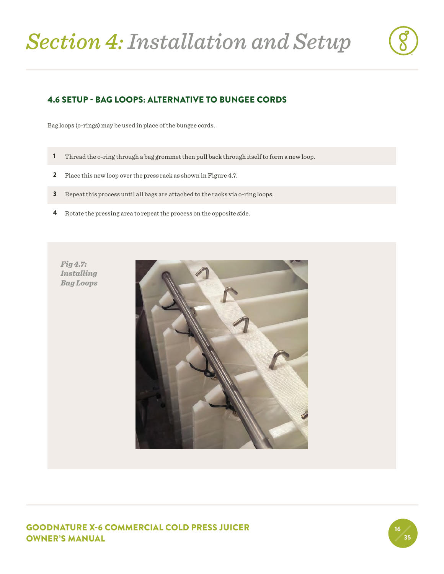

#### 4.6 SETUP - BAG LOOPS: ALTERNATIVE TO BUNGEE CORDS

Bag loops (o-rings) may be used in place of the bungee cords.

- 1 Thread the o-ring through a bag grommet then pull back through itself to form a new loop.
- **2** Place this new loop over the press rack as shown in Figure 4.7.
- **3** Repeat this process until all bags are attached to the racks via o-ring loops.
- 4 Rotate the pressing area to repeat the process on the opposite side.

*Fig 4.7: Installing Bag Loops*



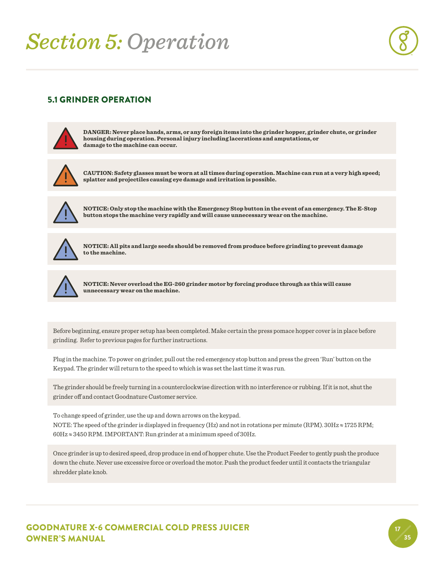17 35

#### 5.1 GRINDER OPERATION



**DANGER: Never place hands, arms, or any foreign items into the grinder hopper, grinder chute, or grinder housing during operation. Personal injury including lacerations and amputations, or damage to the machine can occur.**



**CAUTION: Safety glasses must be worn at all times during operation. Machine can run at a very high speed; splatter and projectiles causing eye damage and irritation is possible.**



**NOTICE: Only stop the machine with the Emergency Stop button in the event of an emergency. The E-Stop button stops the machine very rapidly and will cause unnecessary wear on the machine.** 



**NOTICE: All pits and large seeds should be removed from produce before grinding to prevent damage to the machine.**



**NOTICE: Never overload the EG-260 grinder motor by forcing produce through as this will cause unnecessary wear on the machine.**

Before beginning, ensure proper setup has been completed. Make certain the press pomace hopper cover is in place before grinding. Refer to previous pages for further instructions.

Plug in the machine. To power on grinder, pull out the red emergency stop button and press the green 'Run' button on the Keypad. The grinder will return to the speed to which is was set the last time it was run.

The grinder should be freely turning in a counterclockwise direction with no interference or rubbing. If it is not, shut the grinder off and contact Goodnature Customer service.

To change speed of grinder, use the up and down arrows on the keypad. NOTE: The speed of the grinder is displayed in frequency (Hz) and not in rotations per minute (RPM).  $30Hz \approx 1725$  RPM;  $60Hz \approx 3450$  RPM. IMPORTANT: Run grinder at a minimum speed of  $30Hz$ .

Once grinder is up to desired speed, drop produce in end of hopper chute. Use the Product Feeder to gently push the produce down the chute. Never use excessive force or overload the motor. Push the product feeder until it contacts the triangular shredder plate knob.

GOODNATURE X-6 COMMERCIAL COLD PRESS JUICER OWNER'S MANUAL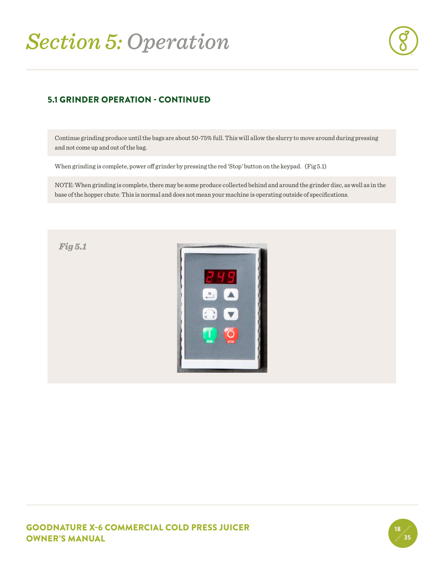

#### 5.1 GRINDER OPERATION - CONTINUED

Continue grinding produce until the bags are about 50-75% full. This will allow the slurry to move around during pressing and not come up and out of the bag.

When grinding is complete, power off grinder by pressing the red 'Stop' button on the keypad. (Fig 5.1)

NOTE: When grinding is complete, there may be some produce collected behind and around the grinder disc, as well as in the base of the hopper chute. This is normal and does not mean your machine is operating outside of specifications.



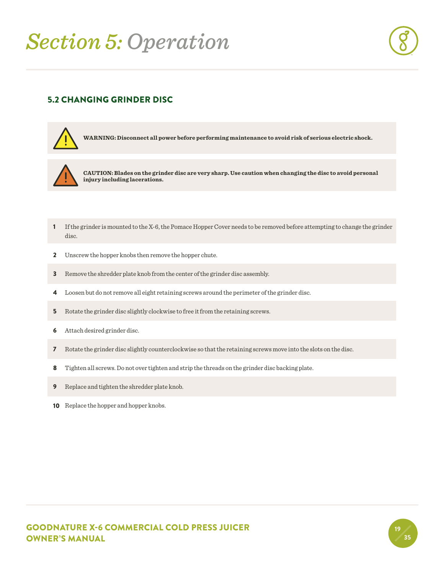

19 35

#### 5.2 CHANGING GRINDER DISC



**WARNING: Disconnect all power before performing maintenance to avoid risk of serious electric shock.**



**CAUTION: Blades on the grinder disc are very sharp. Use caution when changing the disc to avoid personal injury including lacerations.**

- 1 If the grinder is mounted to the X-6, the Pomace Hopper Cover needs to be removed before attempting to change the grinder disc.
- 2 Unscrew the hopper knobs then remove the hopper chute.
- 3 Remove the shredder plate knob from the center of the grinder disc assembly.
- 4 Loosen but do not remove all eight retaining screws around the perimeter of the grinder disc.
- 5 Rotate the grinder disc slightly clockwise to free it from the retaining screws.
- 6 Attach desired grinder disc.
- 7 Rotate the grinder disc slightly counterclockwise so that the retaining screws move into the slots on the disc.
- 8 Tighten all screws. Do not over tighten and strip the threads on the grinder disc backing plate.
- 9 Replace and tighten the shredder plate knob.
- 10 Replace the hopper and hopper knobs.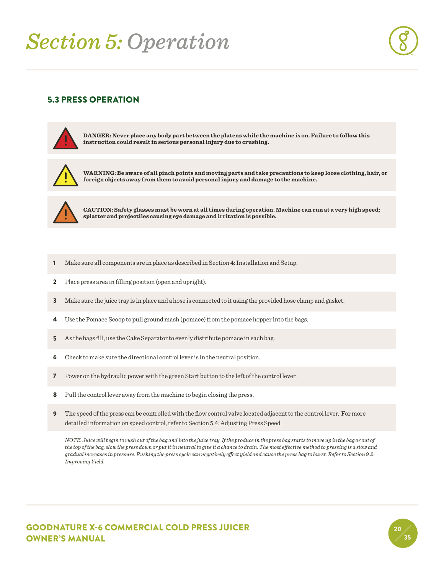### 5.3 PRESS OPERATION



**DANGER: Never place any body part between the platens while the machine is on. Failure to follow this instruction could result in serious personal injury due to crushing.** 



**WARNING: Be aware of all pinch points and moving parts and take precautions to keep loose clothing, hair, or foreign objects away from them to avoid personal injury and damage to the machine.**



**CAUTION: Safety glasses must be worn at all times during operation. Machine can run at a very high speed; splatter and projectiles causing eye damage and irritation is possible.**

- 1 Make sure all components are in place as described in Section 4: Installation and Setup.
- 2 Place press area in filling position (open and upright).
- 3 Make sure the juice tray is in place and a hose is connected to it using the provided hose clamp and gasket.
- 4 Use the Pomace Scoop to pull ground mash (pomace) from the pomace hopper into the bags.
- 5 As the bags fill, use the Cake Separator to evenly distribute pomace in each bag.
- 6 Check to make sure the directional control lever is in the neutral position.
- 7 Power on the hydraulic power with the green Start button to the left of the control lever.
- 8 Pull the control lever away from the machine to begin closing the press.
- 9 The speed of the press can be controlled with the flow control valve located adjacent to the control lever. For more detailed information on speed control, refer to Section 5.4: Adjusting Press Speed

*NOTE: Juice will begin to rush out of the bag and into the juice tray. If the produce in the press bag starts to move up in the bag or out of the top of the bag, slow the press down or put it in neutral to give it a chance to drain. The most effective method to pressing is a slow and gradual increases in pressure. Rushing the press cycle can negatively effect yield and cause the press bag to burst. Refer to Section 9.2: Improving Yield.* 

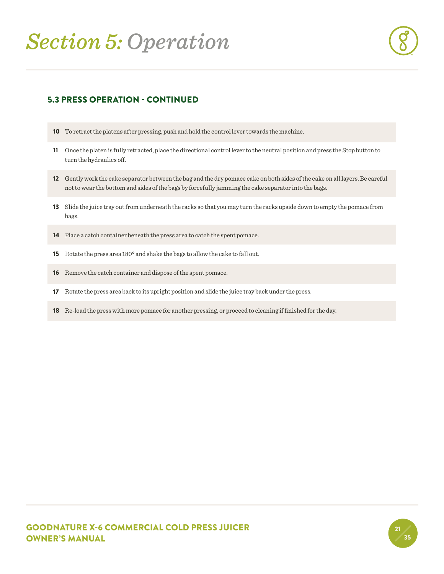

#### 5.3 PRESS OPERATION - CONTINUED

- 10 To retract the platens after pressing, push and hold the control lever towards the machine.
- 11 Once the platen is fully retracted, place the directional control lever to the neutral position and press the Stop button to turn the hydraulics off.
- 12 Gently work the cake separator between the bag and the dry pomace cake on both sides of the cake on all layers. Be careful not to wear the bottom and sides of the bags by forcefully jamming the cake separator into the bags.
- 13 Slide the juice tray out from underneath the racks so that you may turn the racks upside down to empty the pomace from bags.
- 14 Place a catch container beneath the press area to catch the spent pomace.
- 15 Rotate the press area 180° and shake the bags to allow the cake to fall out.
- 16 Remove the catch container and dispose of the spent pomace.
- 17 Rotate the press area back to its upright position and slide the juice tray back under the press.
- 18 Re-load the press with more pomace for another pressing, or proceed to cleaning if finished for the day.

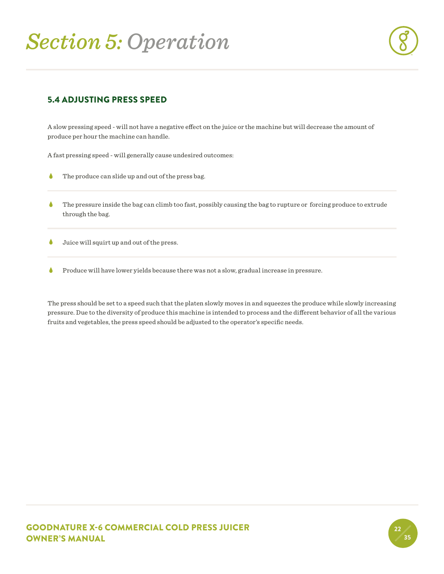

#### 5.4 ADJUSTING PRESS SPEED

A slow pressing speed - will not have a negative effect on the juice or the machine but will decrease the amount of produce per hour the machine can handle.

A fast pressing speed - will generally cause undesired outcomes:

- The produce can slide up and out of the press bag.  $\bullet$
- The pressure inside the bag can climb too fast, possibly causing the bag to rupture or forcing produce to extrude through the bag.  $\bullet$
- Juice will squirt up and out of the press.  $\bullet$
- Produce will have lower yields because there was not a slow, gradual increase in pressure.  $\bullet$

The press should be set to a speed such that the platen slowly moves in and squeezes the produce while slowly increasing pressure. Due to the diversity of produce this machine is intended to process and the different behavior of all the various fruits and vegetables, the press speed should be adjusted to the operator's specific needs.

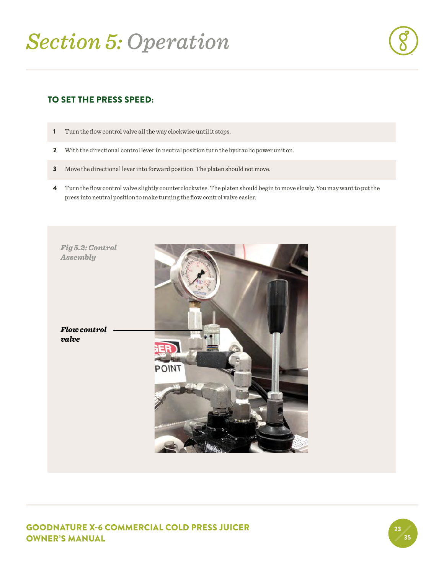#### TO SET THE PRESS SPEED:

- 1 Turn the flow control valve all the way clockwise until it stops.
- 2 With the directional control lever in neutral position turn the hydraulic power unit on.
- 3 Move the directional lever into forward position. The platen should not move.
- 4 Turn the flow control valve slightly counterclockwise. The platen should begin to move slowly. You may want to put the press into neutral position to make turning the flow control valve easier.



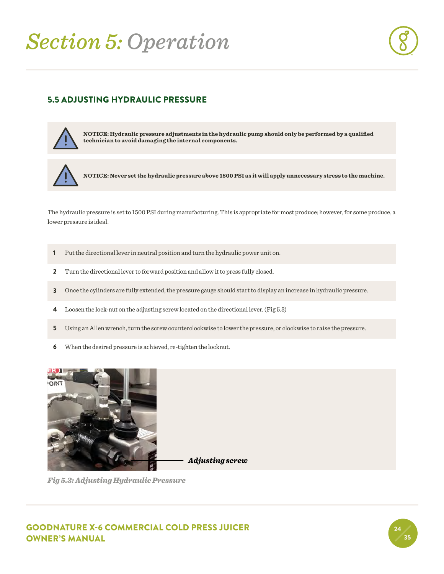

#### 5.5 ADJUSTING HYDRAULIC PRESSURE



**NOTICE: Hydraulic pressure adjustments in the hydraulic pump should only be performed by a qualified technician to avoid damaging the internal components.**



**NOTICE: Never set the hydraulic pressure above 1800 PSI as it will apply unnecessary stress to the machine.**

The hydraulic pressure is set to 1500 PSI during manufacturing. This is appropriate for most produce; however, for some produce, a lower pressure is ideal.

- 1 Put the directional lever in neutral position and turn the hydraulic power unit on.
- 2 Turn the directional lever to forward position and allow it to press fully closed.
- 3 Once the cylinders are fully extended, the pressure gauge should start to display an increase in hydraulic pressure.
- 4 Loosen the lock-nut on the adjusting screw located on the directional lever. (Fig 5.3)
- 5 Using an Allen wrench, turn the screw counterclockwise to lower the pressure, or clockwise to raise the pressure.
- 6 When the desired pressure is achieved, re-tighten the locknut.



*Adjusting screw*

*Fig 5.3: Adjusting Hydraulic Pressure*

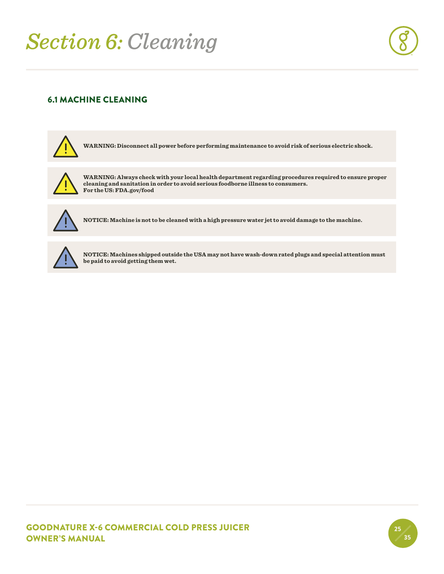### *Section 6: Cleaning*



#### 6.1 MACHINE CLEANING



**WARNING: Disconnect all power before performing maintenance to avoid risk of serious electric shock.**



**WARNING: Always check with your local health department regarding procedures required to ensure proper cleaning and sanitation in order to avoid serious foodborne illness to consumers. For the US: FDA.gov/food**



**NOTICE: Machine is not to be cleaned with a high pressure water jet to avoid damage to the machine.**



**NOTICE: Machines shipped outside the USA may not have wash-down rated plugs and special attention must be paid to avoid getting them wet.**

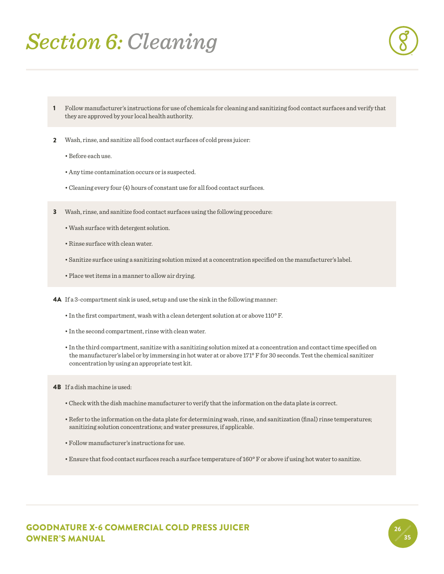### *Section 6: Cleaning*



- 1 Follow manufacturer's instructions for use of chemicals for cleaning and sanitizing food contact surfaces and verify that they are approved by your local health authority.
- 2 Wash, rinse, and sanitize all food contact surfaces of cold press juicer:
	- Before each use.
	- Any time contamination occurs or is suspected.
	- Cleaning every four (4) hours of constant use for all food contact surfaces.
- **3** Wash, rinse, and sanitize food contact surfaces using the following procedure:
	- Wash surface with detergent solution.
	- Rinse surface with clean water.
	- Sanitize surface using a sanitizing solution mixed at a concentration specified on the manufacturer's label.
	- Place wet items in a manner to allow air drying.
- 4A If a 3-compartment sink is used, setup and use the sink in the following manner:
	- In the first compartment, wash with a clean detergent solution at or above 110° F.
	- In the second compartment, rinse with clean water.
	- In the third compartment, sanitize with a sanitizing solution mixed at a concentration and contact time specified on the manufacturer's label or by immersing in hot water at or above 171° F for 30 seconds. Test the chemical sanitizer concentration by using an appropriate test kit.
- 4B If a dish machine is used:
	- Check with the dish machine manufacturer to verify that the information on the data plate is correct.
	- Refer to the information on the data plate for determining wash, rinse, and sanitization (final) rinse temperatures; sanitizing solution concentrations; and water pressures, if applicable.
	- Follow manufacturer's instructions for use.
	- Ensure that food contact surfaces reach a surface temperature of 160° F or above if using hot water to sanitize.

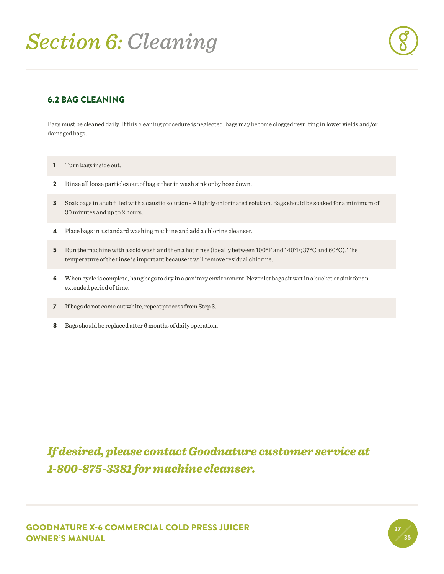## *Section 6: Cleaning*

#### 6.2 BAG CLEANING

Bags must be cleaned daily. If this cleaning procedure is neglected, bags may become clogged resulting in lower yields and/or damaged bags.

- 1 Turn bags inside out.
- 2 Rinse all loose particles out of bag either in wash sink or by hose down.
- 3 Soak bags in a tub filled with a caustic solution A lightly chlorinated solution. Bags should be soaked for a minimum of 30 minutes and up to 2 hours.
- 4 Place bags in a standard washing machine and add a chlorine cleanser.
- 5 Run the machine with a cold wash and then a hot rinse (ideally between 100°F and 140°F; 37°C and 60°C). The temperature of the rinse is important because it will remove residual chlorine.
- 6 When cycle is complete, hang bags to dry in a sanitary environment. Never let bags sit wet in a bucket or sink for an extended period of time.
- 7 If bags do not come out white, repeat process from Step 3.
- 8 Bags should be replaced after 6 months of daily operation.

### *If desired, please contact Goodnature customer service at 1-800-875-3381 for machine cleanser.*

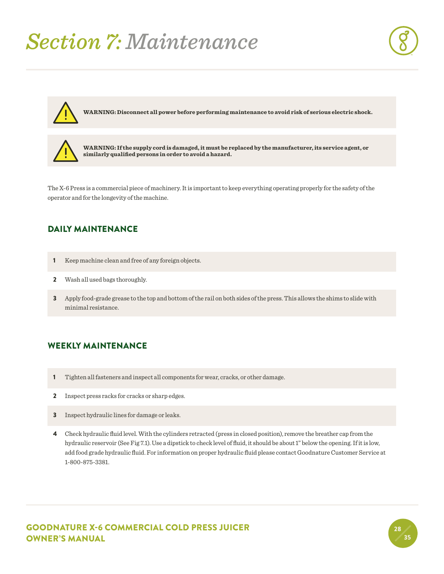### *Section 7: Maintenance*



28 35



**WARNING: Disconnect all power before performing maintenance to avoid risk of serious electric shock.**



**WARNING: If the supply cord is damaged, it must be replaced by the manufacturer, its service agent, or similarly qualified persons in order to avoid a hazard.**

The X-6 Press is a commercial piece of machinery. It is important to keep everything operating properly for the safety of the operator and for the longevity of the machine.

#### DAILY MAINTENANCE

- 1 Keep machine clean and free of any foreign objects.
- 2 Wash all used bags thoroughly.
- 3 Apply food-grade grease to the top and bottom of the rail on both sides of the press. This allows the shims to slide with minimal resistance.

#### WEEKLY MAINTENANCE

- 1 Tighten all fasteners and inspect all components for wear, cracks, or other damage.
- 2 Inspect press racks for cracks or sharp edges.
- 3 Inspect hydraulic lines for damage or leaks.
- 4 Check hydraulic fluid level. With the cylinders retracted (press in closed position), remove the breather cap from the hydraulic reservoir (See Fig 7.1). Use a dipstick to check level of fluid, it should be about 1" below the opening. If it is low, add food grade hydraulic fluid. For information on proper hydraulic fluid please contact Goodnature Customer Service at 1-800-875-3381.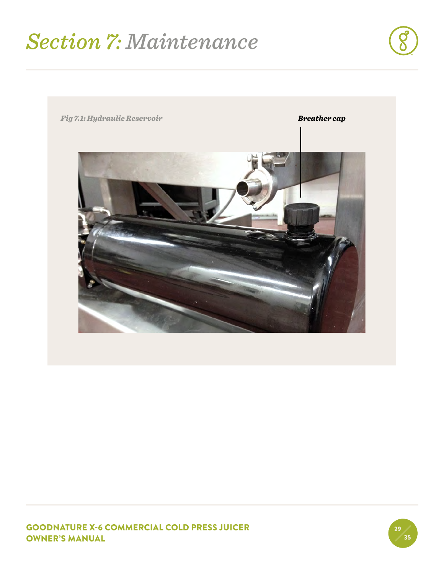### *Section 7: Maintenance*





GOODNATURE X-6 COMMERCIAL COLD PRESS JUICER OWNER'S MANUAL

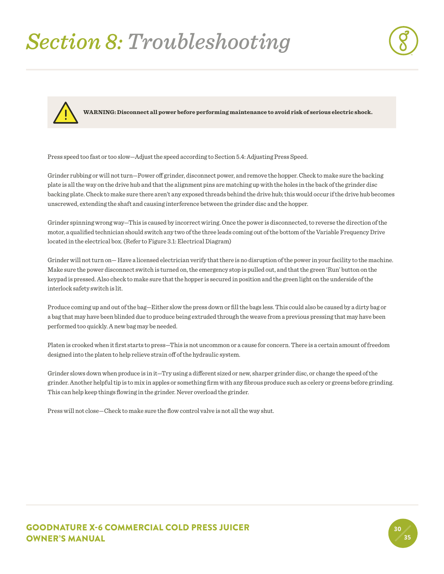# *Section 8: Troubleshooting*





**WARNING: Disconnect all power before performing maintenance to avoid risk of serious electric shock.**

Press speed too fast or too slow—Adjust the speed according to Section 5.4: Adjusting Press Speed.

Grinder rubbing or will not turn—Power off grinder, disconnect power, and remove the hopper. Check to make sure the backing plate is all the way on the drive hub and that the alignment pins are matching up with the holes in the back of the grinder disc backing plate. Check to make sure there aren't any exposed threads behind the drive hub; this would occur if the drive hub becomes unscrewed, extending the shaft and causing interference between the grinder disc and the hopper.

Grinder spinning wrong way—This is caused by incorrect wiring. Once the power is disconnected, to reverse the direction of the motor, a qualified technician should switch any two of the three leads coming out of the bottom of the Variable Frequency Drive located in the electrical box. (Refer to Figure 3.1: Electrical Diagram)

Grinder will not turn on— Have a licensed electrician verify that there is no disruption of the power in your facility to the machine. Make sure the power disconnect switch is turned on, the emergency stop is pulled out, and that the green 'Run' button on the keypad is pressed. Also check to make sure that the hopper is secured in position and the green light on the underside of the interlock safety switch is lit.

Produce coming up and out of the bag—Either slow the press down or fill the bags less. This could also be caused by a dirty bag or a bag that may have been blinded due to produce being extruded through the weave from a previous pressing that may have been performed too quickly. A new bag may be needed.

Platen is crooked when it first starts to press—This is not uncommon or a cause for concern. There is a certain amount of freedom designed into the platen to help relieve strain off of the hydraulic system.

Grinder slows down when produce is in it—Try using a different sized or new, sharper grinder disc, or change the speed of the grinder. Another helpful tip is to mix in apples or something firm with any fibrous produce such as celery or greens before grinding. This can help keep things flowing in the grinder. Never overload the grinder.

Press will not close—Check to make sure the flow control valve is not all the way shut.

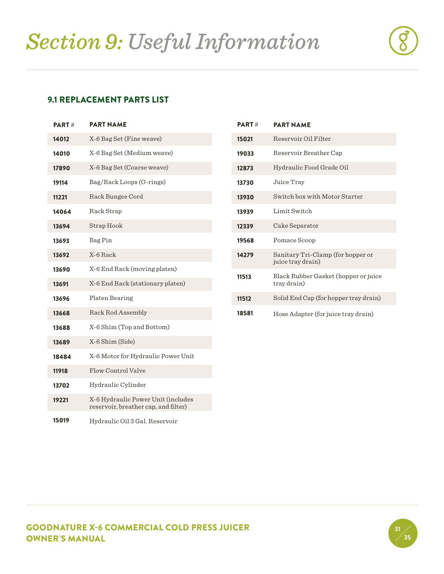#### 9.1 REPLACEMENT PARTS LIST

| <b>PART#</b> | <b>PART NAME</b>                                                           |
|--------------|----------------------------------------------------------------------------|
| 14012        | X-6 Bag Set (Fine weave)                                                   |
| 14010        | X-6 Bag Set (Medium weave)                                                 |
| 17890        | X-6 Bag Set (Coarse weave)                                                 |
| 19114        | Bag/Rack Loops (O-rings)                                                   |
| 11221        | Rack Bungee Cord                                                           |
| 14064        | Rack Strap                                                                 |
| 13694        | Strap Hook                                                                 |
| 13693        | Bag Pin                                                                    |
| 13692        | X-6 Rack                                                                   |
| 13690        | X-6 End Rack (moving platen)                                               |
| 13691        | X-6 End Rack (stationary platen)                                           |
| 13696        | Platen Bearing                                                             |
| 13668        | Rack Rod Assembly                                                          |
| 13688        | X-6 Shim (Top and Bottom)                                                  |
| 13689        | X-6 Shim (Side)                                                            |
| 18484        | X-6 Motor for Hydraulic Power Unit                                         |
| 11918        | Flow Control Valve                                                         |
| 13702        | Hydraulic Cylinder                                                         |
| 19221        | X-6 Hydraulic Power Unit (includes<br>reservoir, breather cap, and filter) |
| 15019        | Hydraulic Oil 3 Gal. Reservoir                                             |

| <b>PART#</b> | <b>PART NAME</b>                                       |
|--------------|--------------------------------------------------------|
| 15021        | Reservoir Oil Filter                                   |
| 19033        | Reservoir Breather Cap                                 |
| 12873        | Hydraulic Food Grade Oil                               |
| 13730        | Juice Tray                                             |
| 13930        | Switch box with Motor Starter                          |
| 13939        | Limit Switch                                           |
| 12339        | Cake Separator                                         |
| 19568        | Pomace Scoop                                           |
| 14279        | Sanitary Tri-Clamp (for hopper or<br>juice tray drain) |
| 11513        | Black Rubber Gasket (hopper or juice<br>tray drain)    |
| 11512        | Solid End Cap (for hopper tray drain)                  |
| 18581        | Hose Adapter (for juice tray drain)                    |

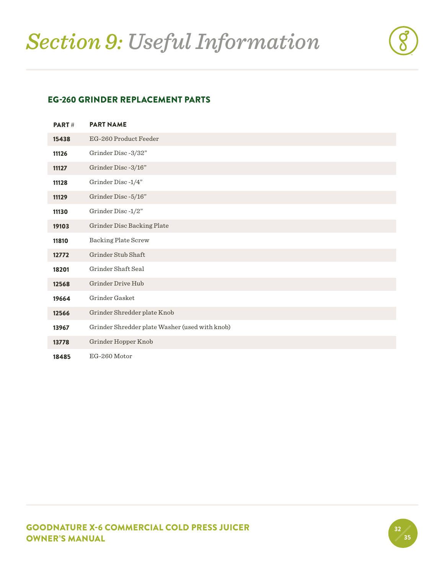#### EG-260 GRINDER REPLACEMENT PARTS

| PART# | <b>PART NAME</b>                               |
|-------|------------------------------------------------|
| 15438 | EG-260 Product Feeder                          |
| 11126 | Grinder Disc-3/32"                             |
| 11127 | Grinder Disc-3/16"                             |
| 11128 | Grinder Disc-1/4"                              |
| 11129 | Grinder Disc-5/16"                             |
| 11130 | Grinder Disc-1/2"                              |
| 19103 | Grinder Disc Backing Plate                     |
| 11810 | <b>Backing Plate Screw</b>                     |
| 12772 | Grinder Stub Shaft                             |
| 18201 | Grinder Shaft Seal                             |
| 12568 | Grinder Drive Hub                              |
| 19664 | Grinder Gasket                                 |
| 12566 | Grinder Shredder plate Knob                    |
| 13967 | Grinder Shredder plate Washer (used with knob) |
| 13778 | Grinder Hopper Knob                            |
| 18485 | EG-260 Motor                                   |

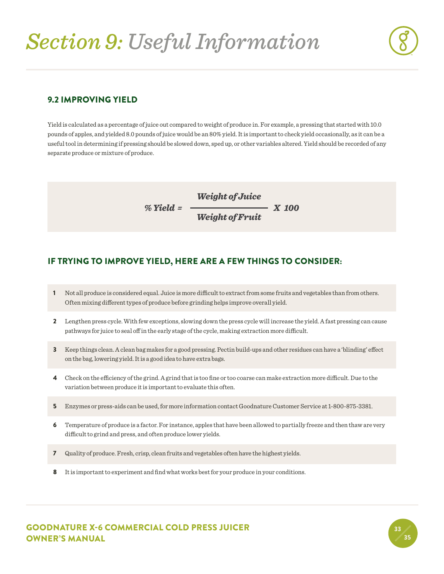# *Section 9: Useful Information*



33 35

#### 9.2 IMPROVING YIELD

Yield is calculated as a percentage of juice out compared to weight of produce in. For example, a pressing that started with 10.0 pounds of apples, and yielded 8.0 pounds of juice would be an 80% yield. It is important to check yield occasionally, as it can be a useful tool in determining if pressing should be slowed down, sped up, or other variables altered. Yield should be recorded of any separate produce or mixture of produce.

$$
\% \text{ Yield} = \frac{\text{Weight of}\text{Juice}}{\text{Weight of}\text{Fruit}} \quad X \text{ 100}
$$

#### IF TRYING TO IMPROVE YIELD, HERE ARE A FEW THINGS TO CONSIDER:

- 1 Not all produce is considered equal. Juice is more difficult to extract from some fruits and vegetables than from others. Often mixing different types of produce before grinding helps improve overall yield.
- 2 Lengthen press cycle. With few exceptions, slowing down the press cycle will increase the yield. A fast pressing can cause pathways for juice to seal off in the early stage of the cycle, making extraction more difficult.
- 3 Keep things clean. A clean bag makes for a good pressing. Pectin build-ups and other residues can have a 'blinding' effect on the bag, lowering yield. It is a good idea to have extra bags.
- 4 Check on the efficiency of the grind. A grind that is too fine or too coarse can make extraction more difficult. Due to the variation between produce it is important to evaluate this often.
- 5 Enzymes or press-aids can be used, for more information contact Goodnature Customer Service at 1-800-875-3381.
- 6 Temperature of produce is a factor. For instance, apples that have been allowed to partially freeze and then thaw are very difficult to grind and press, and often produce lower yields.
- 7 Quality of produce. Fresh, crisp, clean fruits and vegetables often have the highest yields.
- 8 It is important to experiment and find what works best for your produce in your conditions.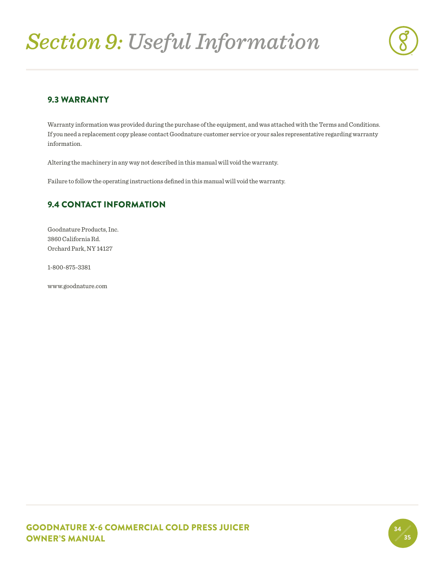# *Section 9: Useful Information*



#### 9.3 WARRANTY

Warranty information was provided during the purchase of the equipment, and was attached with the Terms and Conditions. If you need a replacement copy please contact Goodnature customer service or your sales representative regarding warranty information.

Altering the machinery in any way not described in this manual will void the warranty.

Failure to follow the operating instructions defined in this manual will void the warranty.

#### 9.4 CONTACT INFORMATION

Goodnature Products, Inc. 3860 California Rd. Orchard Park, NY 14127

1-800-875-3381

www.goodnature.com